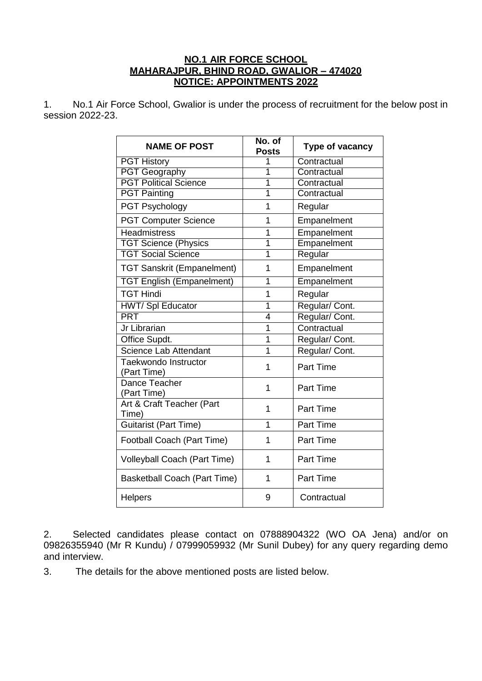## **NO.1 AIR FORCE SCHOOL MAHARAJPUR, BHIND ROAD, GWALIOR – 474020 NOTICE: APPOINTMENTS 2022**

1. No.1 Air Force School, Gwalior is under the process of recruitment for the below post in session 2022-23.

| <b>NAME OF POST</b>                 | No. of<br><b>Posts</b> | Type of vacancy  |
|-------------------------------------|------------------------|------------------|
| <b>PGT History</b>                  | 1                      | Contractual      |
| <b>PGT Geography</b>                | 1                      | Contractual      |
| <b>PGT Political Science</b>        | 1                      | Contractual      |
| <b>PGT Painting</b>                 | 1                      | Contractual      |
| <b>PGT Psychology</b>               | 1                      | Regular          |
| <b>PGT Computer Science</b>         | 1                      | Empanelment      |
| <b>Headmistress</b>                 | 1                      | Empanelment      |
| <b>TGT Science (Physics</b>         | $\overline{1}$         | Empanelment      |
| <b>TGT Social Science</b>           | $\overline{1}$         | Regular          |
| <b>TGT Sanskrit (Empanelment)</b>   | 1                      | Empanelment      |
| <b>TGT English (Empanelment)</b>    | 1                      | Empanelment      |
| <b>TGT Hindi</b>                    | 1                      | Regular          |
| <b>HWT/Spl Educator</b>             | 1                      | Regular/Cont.    |
| <b>PRT</b>                          | 4                      | Regular/Cont.    |
| Jr Librarian                        | $\overline{1}$         | Contractual      |
| Office Supdt.                       | 1                      | Regular/ Cont.   |
| Science Lab Attendant               | 1                      | Regular/ Cont.   |
| Taekwondo Instructor<br>(Part Time) | 1                      | <b>Part Time</b> |
| Dance Teacher<br>(Part Time)        | 1                      | <b>Part Time</b> |
| Art & Craft Teacher (Part<br>Time)  | 1                      | <b>Part Time</b> |
| <b>Guitarist (Part Time)</b>        | 1                      | <b>Part Time</b> |
| Football Coach (Part Time)          | 1                      | <b>Part Time</b> |
| Volleyball Coach (Part Time)        | 1                      | <b>Part Time</b> |
| Basketball Coach (Part Time)        | 1                      | <b>Part Time</b> |
| <b>Helpers</b>                      | 9                      | Contractual      |

2. Selected candidates please contact on 07888904322 (WO OA Jena) and/or on 09826355940 (Mr R Kundu) / 07999059932 (Mr Sunil Dubey) for any query regarding demo and interview.

3. The details for the above mentioned posts are listed below.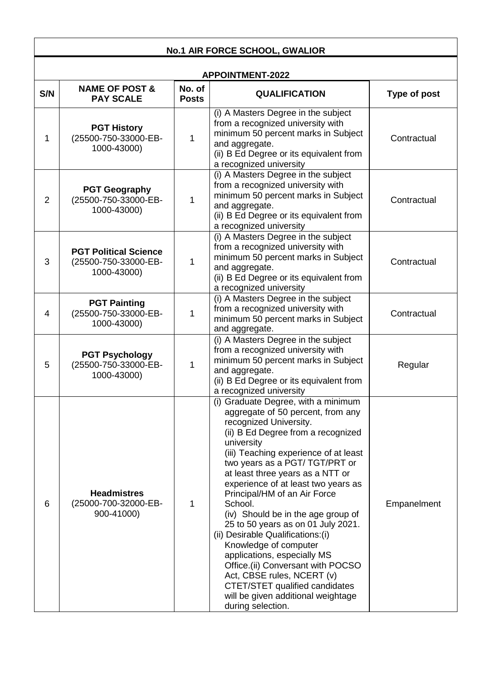| <b>No.1 AIR FORCE SCHOOL, GWALIOR</b> |                                                                     |                        |                                                                                                                                                                                                                                                                                                                                                                                                                                                                                                                                                                                                                                                                                                  |              |
|---------------------------------------|---------------------------------------------------------------------|------------------------|--------------------------------------------------------------------------------------------------------------------------------------------------------------------------------------------------------------------------------------------------------------------------------------------------------------------------------------------------------------------------------------------------------------------------------------------------------------------------------------------------------------------------------------------------------------------------------------------------------------------------------------------------------------------------------------------------|--------------|
| <b>APPOINTMENT-2022</b>               |                                                                     |                        |                                                                                                                                                                                                                                                                                                                                                                                                                                                                                                                                                                                                                                                                                                  |              |
| S/N                                   | <b>NAME OF POST &amp;</b><br><b>PAY SCALE</b>                       | No. of<br><b>Posts</b> | <b>QUALIFICATION</b>                                                                                                                                                                                                                                                                                                                                                                                                                                                                                                                                                                                                                                                                             | Type of post |
| 1                                     | <b>PGT History</b><br>(25500-750-33000-EB-<br>1000-43000)           | 1                      | (i) A Masters Degree in the subject<br>from a recognized university with<br>minimum 50 percent marks in Subject<br>and aggregate.<br>(ii) B Ed Degree or its equivalent from<br>a recognized university                                                                                                                                                                                                                                                                                                                                                                                                                                                                                          | Contractual  |
| $\overline{2}$                        | <b>PGT Geography</b><br>(25500-750-33000-EB-<br>1000-43000)         | 1                      | (i) A Masters Degree in the subject<br>from a recognized university with<br>minimum 50 percent marks in Subject<br>and aggregate.<br>(ii) B Ed Degree or its equivalent from<br>a recognized university                                                                                                                                                                                                                                                                                                                                                                                                                                                                                          | Contractual  |
| 3                                     | <b>PGT Political Science</b><br>(25500-750-33000-EB-<br>1000-43000) | 1                      | (i) A Masters Degree in the subject<br>from a recognized university with<br>minimum 50 percent marks in Subject<br>and aggregate.<br>(ii) B Ed Degree or its equivalent from<br>a recognized university                                                                                                                                                                                                                                                                                                                                                                                                                                                                                          | Contractual  |
| 4                                     | <b>PGT Painting</b><br>(25500-750-33000-EB-<br>1000-43000)          | 1                      | (i) A Masters Degree in the subject<br>from a recognized university with<br>minimum 50 percent marks in Subject<br>and aggregate.                                                                                                                                                                                                                                                                                                                                                                                                                                                                                                                                                                | Contractual  |
| 5                                     | <b>PGT Psychology</b><br>(25500-750-33000-EB-<br>1000-43000)        | 1                      | (i) A Masters Degree in the subject<br>from a recognized university with<br>minimum 50 percent marks in Subject<br>and aggregate.<br>(ii) B Ed Degree or its equivalent from<br>a recognized university                                                                                                                                                                                                                                                                                                                                                                                                                                                                                          | Regular      |
| 6                                     | <b>Headmistres</b><br>(25000-700-32000-EB-<br>900-41000)            | 1                      | (i) Graduate Degree, with a minimum<br>aggregate of 50 percent, from any<br>recognized University.<br>(ii) B Ed Degree from a recognized<br>university<br>(iii) Teaching experience of at least<br>two years as a PGT/TGT/PRT or<br>at least three years as a NTT or<br>experience of at least two years as<br>Principal/HM of an Air Force<br>School.<br>(iv) Should be in the age group of<br>25 to 50 years as on 01 July 2021.<br>(ii) Desirable Qualifications: (i)<br>Knowledge of computer<br>applications, especially MS<br>Office.(ii) Conversant with POCSO<br>Act, CBSE rules, NCERT (v)<br>CTET/STET qualified candidates<br>will be given additional weightage<br>during selection. | Empanelment  |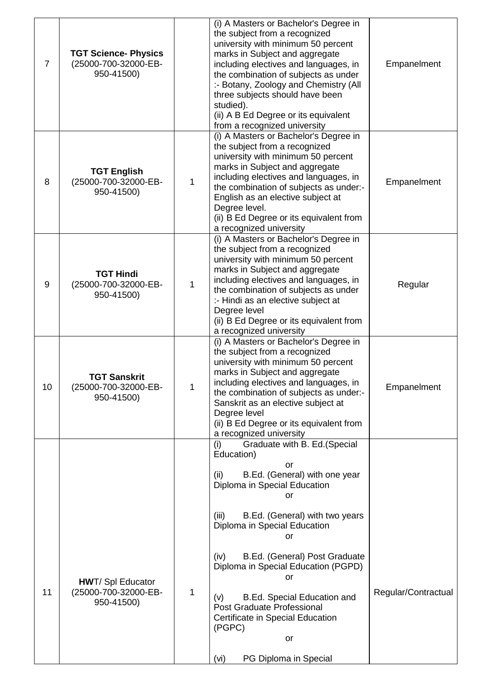| $\overline{7}$ | <b>TGT Science- Physics</b><br>(25000-700-32000-EB-<br>950-41500) |   | (i) A Masters or Bachelor's Degree in<br>the subject from a recognized<br>university with minimum 50 percent<br>marks in Subject and aggregate<br>including electives and languages, in<br>the combination of subjects as under<br>:- Botany, Zoology and Chemistry (All<br>three subjects should have been<br>studied).<br>(ii) A B Ed Degree or its equivalent<br>from a recognized university | Empanelment         |
|----------------|-------------------------------------------------------------------|---|--------------------------------------------------------------------------------------------------------------------------------------------------------------------------------------------------------------------------------------------------------------------------------------------------------------------------------------------------------------------------------------------------|---------------------|
| 8              | <b>TGT English</b><br>(25000-700-32000-EB-<br>950-41500)          | 1 | (i) A Masters or Bachelor's Degree in<br>the subject from a recognized<br>university with minimum 50 percent<br>marks in Subject and aggregate<br>including electives and languages, in<br>the combination of subjects as under:-<br>English as an elective subject at<br>Degree level.<br>(ii) B Ed Degree or its equivalent from<br>a recognized university                                    | Empanelment         |
| 9              | <b>TGT Hindi</b><br>(25000-700-32000-EB-<br>950-41500)            | 1 | (i) A Masters or Bachelor's Degree in<br>the subject from a recognized<br>university with minimum 50 percent<br>marks in Subject and aggregate<br>including electives and languages, in<br>the combination of subjects as under<br>:- Hindi as an elective subject at<br>Degree level<br>(ii) B Ed Degree or its equivalent from<br>a recognized university                                      | Regular             |
| 10             | <b>TGT Sanskrit</b><br>(25000-700-32000-EB-<br>950-41500)         | 1 | (i) A Masters or Bachelor's Degree in<br>the subject from a recognized<br>university with minimum 50 percent<br>marks in Subject and aggregate<br>including electives and languages, in<br>the combination of subjects as under:-<br>Sanskrit as an elective subject at<br>Degree level<br>(ii) B Ed Degree or its equivalent from<br>a recognized university                                    | Empanelment         |
|                |                                                                   |   | Graduate with B. Ed.(Special<br>(i)<br>Education)<br>or<br>B.Ed. (General) with one year<br>(ii)<br>Diploma in Special Education                                                                                                                                                                                                                                                                 |                     |
|                |                                                                   |   | or<br>(iii)<br>B.Ed. (General) with two years<br>Diploma in Special Education<br><b>or</b>                                                                                                                                                                                                                                                                                                       |                     |
| 11             | <b>HWT/ Spl Educator</b><br>(25000-700-32000-EB-<br>950-41500)    | 1 | B.Ed. (General) Post Graduate<br>(iv)<br>Diploma in Special Education (PGPD)<br>or<br><b>B.Ed. Special Education and</b><br>(v)<br>Post Graduate Professional<br>Certificate in Special Education<br>(PGPC)                                                                                                                                                                                      | Regular/Contractual |
|                |                                                                   |   | or<br>PG Diploma in Special<br>(vi)                                                                                                                                                                                                                                                                                                                                                              |                     |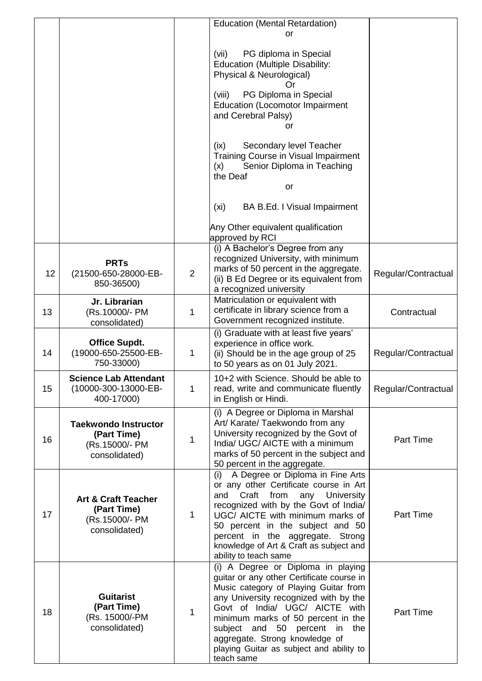|    |                                                                                  |                | <b>Education (Mental Retardation)</b>                                                                                                                                                                                                                                                                                                                                     |                     |
|----|----------------------------------------------------------------------------------|----------------|---------------------------------------------------------------------------------------------------------------------------------------------------------------------------------------------------------------------------------------------------------------------------------------------------------------------------------------------------------------------------|---------------------|
|    |                                                                                  |                | or                                                                                                                                                                                                                                                                                                                                                                        |                     |
|    |                                                                                  |                | PG diploma in Special<br>(vii)<br><b>Education (Multiple Disability:</b><br>Physical & Neurological)<br>Ωr<br>PG Diploma in Special<br>(viii)<br><b>Education (Locomotor Impairment</b><br>and Cerebral Palsy)                                                                                                                                                            |                     |
|    |                                                                                  |                | or<br>(ix)<br>Secondary level Teacher<br>Training Course in Visual Impairment                                                                                                                                                                                                                                                                                             |                     |
|    |                                                                                  |                | Senior Diploma in Teaching<br>(x)<br>the Deaf<br>or                                                                                                                                                                                                                                                                                                                       |                     |
|    |                                                                                  |                | (xi)<br>BA B.Ed. I Visual Impairment                                                                                                                                                                                                                                                                                                                                      |                     |
|    |                                                                                  |                | Any Other equivalent qualification<br>approved by RCI                                                                                                                                                                                                                                                                                                                     |                     |
| 12 | <b>PRTs</b><br>(21500-650-28000-EB-<br>850-36500)                                | $\overline{2}$ | (i) A Bachelor's Degree from any<br>recognized University, with minimum<br>marks of 50 percent in the aggregate.<br>(ii) B Ed Degree or its equivalent from<br>a recognized university                                                                                                                                                                                    | Regular/Contractual |
| 13 | Jr. Librarian<br>(Rs.10000/- PM<br>consolidated)                                 | 1              | Matriculation or equivalent with<br>certificate in library science from a<br>Government recognized institute.                                                                                                                                                                                                                                                             | Contractual         |
| 14 | <b>Office Supdt.</b><br>(19000-650-25500-EB-<br>750-33000)                       | 1              | (i) Graduate with at least five years'<br>experience in office work.<br>(ii) Should be in the age group of 25<br>to 50 years as on 01 July 2021.                                                                                                                                                                                                                          | Regular/Contractual |
| 15 | <b>Science Lab Attendant</b><br>(10000-300-13000-EB-<br>400-17000)               | 1              | 10+2 with Science. Should be able to<br>read, write and communicate fluently<br>in English or Hindi.                                                                                                                                                                                                                                                                      | Regular/Contractual |
| 16 | <b>Taekwondo Instructor</b><br>(Part Time)<br>(Rs.15000/- PM<br>consolidated)    | 1              | (i) A Degree or Diploma in Marshal<br>Art/ Karate/ Taekwondo from any<br>University recognized by the Govt of<br>India/ UGC/ AICTE with a minimum<br>marks of 50 percent in the subject and<br>50 percent in the aggregate.                                                                                                                                               | Part Time           |
| 17 | <b>Art &amp; Craft Teacher</b><br>(Part Time)<br>(Rs.15000/- PM<br>consolidated) | 1              | (i) A Degree or Diploma in Fine Arts<br>or any other Certificate course in Art<br>Craft from<br>any University<br>and<br>recognized with by the Govt of India/<br>UGC/ AICTE with minimum marks of<br>50 percent in the subject and 50<br>percent in the aggregate. Strong<br>knowledge of Art & Craft as subject and<br>ability to teach same                            | Part Time           |
| 18 | <b>Guitarist</b><br>(Part Time)<br>(Rs. 15000/-PM<br>consolidated)               | 1              | (i) A Degree or Diploma in playing<br>guitar or any other Certificate course in<br>Music category of Playing Guitar from<br>any University recognized with by the<br>Govt of India/ UGC/ AICTE with<br>minimum marks of 50 percent in the<br>subject and 50 percent in<br>the<br>aggregate. Strong knowledge of<br>playing Guitar as subject and ability to<br>teach same | Part Time           |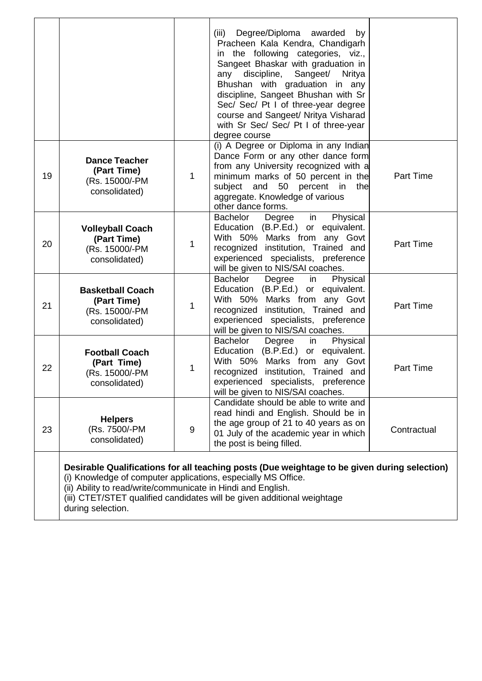|    |                                                                                                                                                                                                                                                                                                                               |             | (iii)<br>Degree/Diploma awarded<br>by<br>Pracheen Kala Kendra, Chandigarh<br>in the following categories, viz.,<br>Sangeet Bhaskar with graduation in<br>discipline,<br>Sangeet/<br><b>Nritya</b><br>any<br>Bhushan with graduation in any<br>discipline, Sangeet Bhushan with Sr<br>Sec/ Sec/ Pt I of three-year degree<br>course and Sangeet/ Nritya Visharad<br>with Sr Sec/ Sec/ Pt I of three-year<br>degree course |                  |
|----|-------------------------------------------------------------------------------------------------------------------------------------------------------------------------------------------------------------------------------------------------------------------------------------------------------------------------------|-------------|--------------------------------------------------------------------------------------------------------------------------------------------------------------------------------------------------------------------------------------------------------------------------------------------------------------------------------------------------------------------------------------------------------------------------|------------------|
| 19 | <b>Dance Teacher</b><br>(Part Time)<br>(Rs. 15000/-PM<br>consolidated)                                                                                                                                                                                                                                                        | 1           | (i) A Degree or Diploma in any Indian<br>Dance Form or any other dance form<br>from any University recognized with a<br>minimum marks of 50 percent in the<br>and 50 percent in<br>the<br>subject<br>aggregate. Knowledge of various<br>other dance forms.                                                                                                                                                               | Part Time        |
| 20 | <b>Volleyball Coach</b><br>(Part Time)<br>(Rs. 15000/-PM<br>consolidated)                                                                                                                                                                                                                                                     | 1           | Physical<br>Bachelor<br>Degree<br>in<br>Education (B.P.Ed.) or equivalent.<br>With 50% Marks from any Govt<br>recognized institution, Trained and<br>experienced specialists, preference<br>will be given to NIS/SAI coaches.                                                                                                                                                                                            | <b>Part Time</b> |
| 21 | <b>Basketball Coach</b><br>(Part Time)<br>(Rs. 15000/-PM<br>consolidated)                                                                                                                                                                                                                                                     | $\mathbf 1$ | Bachelor<br>Physical<br>Degree<br>in<br>Education (B.P.Ed.) or equivalent.<br>With 50% Marks from any Govt<br>recognized institution, Trained and<br>experienced specialists, preference<br>will be given to NIS/SAI coaches.                                                                                                                                                                                            | Part Time        |
| 22 | <b>Football Coach</b><br>(Part Time)<br>(Rs. 15000/-PM<br>consolidated)                                                                                                                                                                                                                                                       | 1           | Bachelor<br>Degree<br>Physical<br>in<br>Education (B.P.Ed.) or equivalent.<br>With 50% Marks from any Govt<br>recognized institution, Trained and<br>experienced specialists, preference<br>will be given to NIS/SAI coaches.                                                                                                                                                                                            | Part Time        |
| 23 | <b>Helpers</b><br>(Rs. 7500/-PM<br>consolidated)                                                                                                                                                                                                                                                                              | 9           | Candidate should be able to write and<br>read hindi and English. Should be in<br>the age group of 21 to 40 years as on<br>01 July of the academic year in which<br>the post is being filled.                                                                                                                                                                                                                             | Contractual      |
|    | Desirable Qualifications for all teaching posts (Due weightage to be given during selection)<br>(i) Knowledge of computer applications, especially MS Office.<br>(ii) Ability to read/write/communicate in Hindi and English.<br>(iii) CTET/STET qualified candidates will be given additional weightage<br>during selection. |             |                                                                                                                                                                                                                                                                                                                                                                                                                          |                  |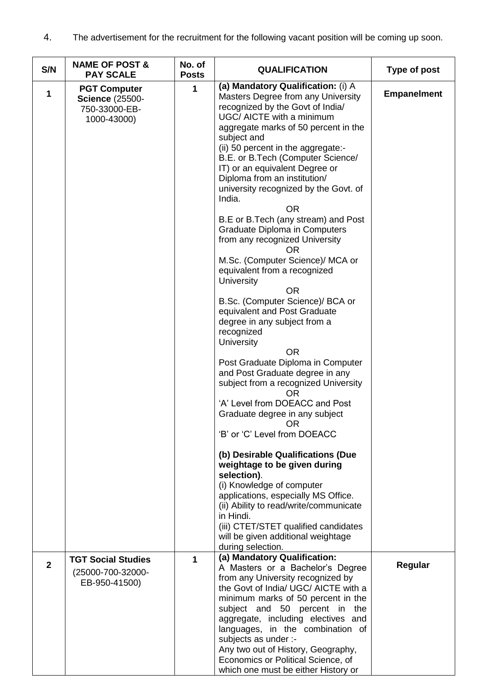4. The advertisement for the recruitment for the following vacant position will be coming up soon.

| S/N            | <b>NAME OF POST &amp;</b><br><b>PAY SCALE</b>                                 | No. of<br><b>Posts</b> | <b>QUALIFICATION</b>                                                                                                                                                                                                                                                                                                                                                                                                                                                                                                                                                                                                                                                                                                                                                                                                                                                                                                                                                                                                                                                                                                                                                                                                                                                                                                                             | Type of post       |
|----------------|-------------------------------------------------------------------------------|------------------------|--------------------------------------------------------------------------------------------------------------------------------------------------------------------------------------------------------------------------------------------------------------------------------------------------------------------------------------------------------------------------------------------------------------------------------------------------------------------------------------------------------------------------------------------------------------------------------------------------------------------------------------------------------------------------------------------------------------------------------------------------------------------------------------------------------------------------------------------------------------------------------------------------------------------------------------------------------------------------------------------------------------------------------------------------------------------------------------------------------------------------------------------------------------------------------------------------------------------------------------------------------------------------------------------------------------------------------------------------|--------------------|
| 1              | <b>PGT Computer</b><br><b>Science (25500-</b><br>750-33000-EB-<br>1000-43000) | 1                      | (a) Mandatory Qualification: (i) A<br>Masters Degree from any University<br>recognized by the Govt of India/<br>UGC/ AICTE with a minimum<br>aggregate marks of 50 percent in the<br>subject and<br>(ii) 50 percent in the aggregate:-<br>B.E. or B.Tech (Computer Science/<br>IT) or an equivalent Degree or<br>Diploma from an institution/<br>university recognized by the Govt. of<br>India.<br><b>OR</b><br>B.E or B.Tech (any stream) and Post<br><b>Graduate Diploma in Computers</b><br>from any recognized University<br><b>OR</b><br>M.Sc. (Computer Science)/ MCA or<br>equivalent from a recognized<br>University<br><b>OR</b><br>B.Sc. (Computer Science)/ BCA or<br>equivalent and Post Graduate<br>degree in any subject from a<br>recognized<br>University<br><b>OR</b><br>Post Graduate Diploma in Computer<br>and Post Graduate degree in any<br>subject from a recognized University<br><b>OR</b><br>'A' Level from DOEACC and Post<br>Graduate degree in any subject<br>0R<br>'B' or 'C' Level from DOEACC<br>(b) Desirable Qualifications (Due<br>weightage to be given during<br>selection).<br>(i) Knowledge of computer<br>applications, especially MS Office.<br>(ii) Ability to read/write/communicate<br>in Hindi.<br>(iii) CTET/STET qualified candidates<br>will be given additional weightage<br>during selection. | <b>Empanelment</b> |
| $\overline{2}$ | <b>TGT Social Studies</b><br>(25000-700-32000-<br>EB-950-41500)               | $\mathbf{1}$           | (a) Mandatory Qualification:<br>A Masters or a Bachelor's Degree<br>from any University recognized by<br>the Govt of India/ UGC/ AICTE with a<br>minimum marks of 50 percent in the<br>subject and 50 percent in the<br>aggregate, including electives and<br>languages, in the combination of<br>subjects as under :-<br>Any two out of History, Geography,<br>Economics or Political Science, of<br>which one must be either History or                                                                                                                                                                                                                                                                                                                                                                                                                                                                                                                                                                                                                                                                                                                                                                                                                                                                                                        | Regular            |